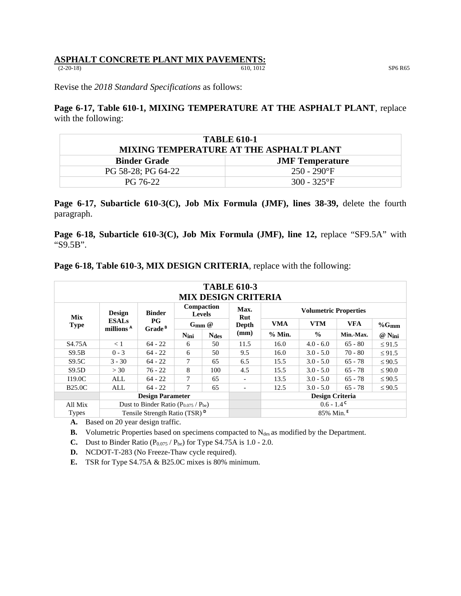## **ASPHALT CONCRETE PLANT MIX PAVEMENTS:**<br>(2-20-18)<br>610, 1012

(2-20-18) 610, 1012 SP6 R65

Revise the *2018 Standard Specifications* as follows:

**Page 6-17, Table 610-1, MIXING TEMPERATURE AT THE ASPHALT PLANT**, replace with the following:

| <b>TABLE 610-1</b>                            |                |  |  |  |
|-----------------------------------------------|----------------|--|--|--|
| MIXING TEMPERATURE AT THE ASPHALT PLANT       |                |  |  |  |
| <b>Binder Grade</b><br><b>JMF</b> Temperature |                |  |  |  |
| PG 58-28; PG 64-22                            | $250 - 290$ °F |  |  |  |
| PG 76-22                                      | $300 - 325$ °F |  |  |  |

Page 6-17, Subarticle 610-3(C), Job Mix Formula (JMF), lines 38-39, delete the fourth paragraph.

**Page 6-18, Subarticle 610-3(C), Job Mix Formula (JMF), line 12,** replace "SF9.5A" with "S9.5B".

| <b>TABLE 610-3</b><br><b>MIX DESIGN CRITERIA</b> |                                             |                                   |                                    |             |                          |                              |               |            |             |
|--------------------------------------------------|---------------------------------------------|-----------------------------------|------------------------------------|-------------|--------------------------|------------------------------|---------------|------------|-------------|
| <b>Mix</b>                                       | <b>Design</b>                               | <b>Binder</b>                     | <b>Compaction</b><br><b>Levels</b> |             | Max.<br>Rut              | <b>Volumetric Properties</b> |               |            |             |
| <b>Type</b>                                      | <b>ESALs</b><br>millions <sup>A</sup>       | $_{\rm PG}$<br>Grade <sup>B</sup> | $G_{mm}$ @                         |             | Depth                    | <b>VMA</b>                   | <b>VTM</b>    | <b>VFA</b> | $%$ Gmm     |
|                                                  |                                             |                                   | Nini                               | <b>Ndes</b> | (mm)                     | % Min.                       | $\frac{0}{0}$ | Min.-Max.  | @ Nini      |
| S <sub>4.75</sub> A                              | < 1                                         | $64 - 22$                         | 6                                  | 50          | 11.5                     | 16.0                         | $4.0 - 6.0$   | $65 - 80$  | $\leq 91.5$ |
| S9.5B                                            | $0 - 3$                                     | $64 - 22$                         | 6                                  | 50          | 9.5                      | 16.0                         | $3.0 - 5.0$   | $70 - 80$  | $\leq 91.5$ |
| S9.5C                                            | $3 - 30$                                    | $64 - 22$                         | 7                                  | 65          | 6.5                      | 15.5                         | $3.0 - 5.0$   | $65 - 78$  | $\leq 90.5$ |
| S9.5D                                            | >30                                         | $76 - 22$                         | 8                                  | 100         | 4.5                      | 15.5                         | $3.0 - 5.0$   | $65 - 78$  | $\leq 90.0$ |
| I19.0C                                           | ALL                                         | $64 - 22$                         | 7                                  | 65          | $\overline{\phantom{a}}$ | 13.5                         | $3.0 - 5.0$   | $65 - 78$  | $\leq 90.5$ |
| <b>B25.0C</b>                                    | ALL                                         | $64 - 22$                         | 7                                  | 65          | $\overline{\phantom{a}}$ | 12.5                         | $3.0 - 5.0$   | $65 - 78$  | $\leq 90.5$ |
|                                                  | <b>Design Parameter</b>                     |                                   |                                    |             | <b>Design Criteria</b>   |                              |               |            |             |
| All Mix                                          | Dust to Binder Ratio $(P_{0.075} / P_{be})$ |                                   |                                    |             | $0.6 - 1.4^{\text{c}}$   |                              |               |            |             |
| <b>Types</b>                                     | Tensile Strength Ratio (TSR) <sup>D</sup>   |                                   |                                    |             | 85% Min. <sup>E</sup>    |                              |               |            |             |

**Page 6-18, Table 610-3, MIX DESIGN CRITERIA**, replace with the following:

**A.** Based on 20 year design traffic.

**B.** Volumetric Properties based on specimens compacted to N<sub>des</sub> as modified by the Department.

**C.** Dust to Binder Ratio  $(P_{0.075} / P_{be})$  for Type S4.75A is 1.0 - 2.0.

**D.** NCDOT-T-283 (No Freeze-Thaw cycle required).

**E.** TSR for Type S4.75A & B25.0C mixes is 80% minimum.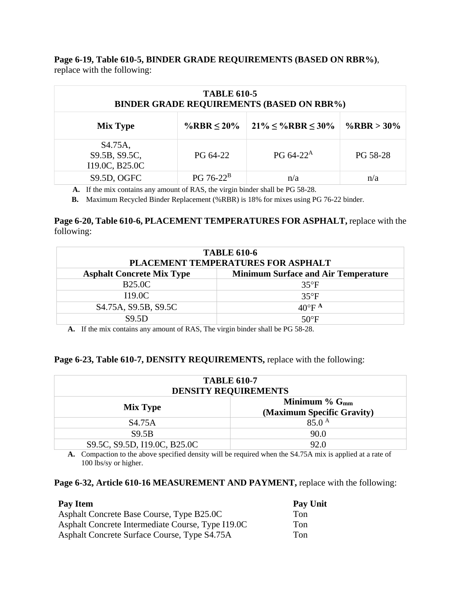**Page 6-19, Table 610-5, BINDER GRADE REQUIREMENTS (BASED ON RBR%)**, replace with the following:

| <b>TABLE 610-5</b><br><b>BINDER GRADE REQUIREMENTS (BASED ON RBR%)</b> |                  |                                |               |  |  |
|------------------------------------------------------------------------|------------------|--------------------------------|---------------|--|--|
| <b>Mix Type</b>                                                        | %RBR $\leq 20\%$ | $21\% \leq \%$ RBR $\leq 30\%$ | %RBR > $30\%$ |  |  |
| S <sub>4.75</sub> A,<br>S9.5B, S9.5C,<br>I19.0C, B25.0C                | PG 64-22         | PG $64-22^{\rm A}$             | PG 58-28      |  |  |
| <b>S9.5D, OGFC</b>                                                     | $PG 76-22^B$     | n/a                            | n/a           |  |  |

**A.** If the mix contains any amount of RAS, the virgin binder shall be PG 58-28.

**B.** Maximum Recycled Binder Replacement (%RBR) is 18% for mixes using PG 76-22 binder.

## **Page 6-20, Table 610-6, PLACEMENT TEMPERATURES FOR ASPHALT,** replace with the following:

| <b>TABLE 610-6</b><br>PLACEMENT TEMPERATURES FOR ASPHALT                       |                             |  |  |  |
|--------------------------------------------------------------------------------|-----------------------------|--|--|--|
| <b>Minimum Surface and Air Temperature</b><br><b>Asphalt Concrete Mix Type</b> |                             |  |  |  |
| <b>B25.0C</b>                                                                  | $35^{\circ}F$               |  |  |  |
| <b>I19.0C</b>                                                                  | $35^{\circ}F$               |  |  |  |
| S <sub>4.75</sub> A, S <sub>9.5</sub> B, S <sub>9.5</sub> C                    | $40^{\circ}$ F <sup>A</sup> |  |  |  |
| <b>S9.5D</b>                                                                   | $50^{\circ}$ F              |  |  |  |

**A.** If the mix contains any amount of RAS, The virgin binder shall be PG 58-28.

## **Page 6-23, Table 610-7, DENSITY REQUIREMENTS,** replace with the following:

| <b>TABLE 610-7</b><br><b>DENSITY REQUIREMENTS</b>                             |                   |  |  |  |
|-------------------------------------------------------------------------------|-------------------|--|--|--|
| Minimum $\%$ G <sub>mm</sub><br><b>Mix Type</b><br>(Maximum Specific Gravity) |                   |  |  |  |
| S <sub>4.75</sub> A                                                           | $85.0^{\text{A}}$ |  |  |  |
| S9.5B                                                                         | 90.0              |  |  |  |
| S9.5C, S9.5D, I19.0C, B25.0C                                                  | 92.0              |  |  |  |

**A.** Compaction to the above specified density will be required when the S4.75A mix is applied at a rate of 100 lbs/sy or higher.

## **Page 6-32, Article 610-16 MEASUREMENT AND PAYMENT,** replace with the following:

| Pay Item                                          | Pay Unit |
|---------------------------------------------------|----------|
| Asphalt Concrete Base Course, Type B25.0C         | Ton      |
| Asphalt Concrete Intermediate Course, Type I19.0C | Ton      |
| Asphalt Concrete Surface Course, Type S4.75A      | Ton      |